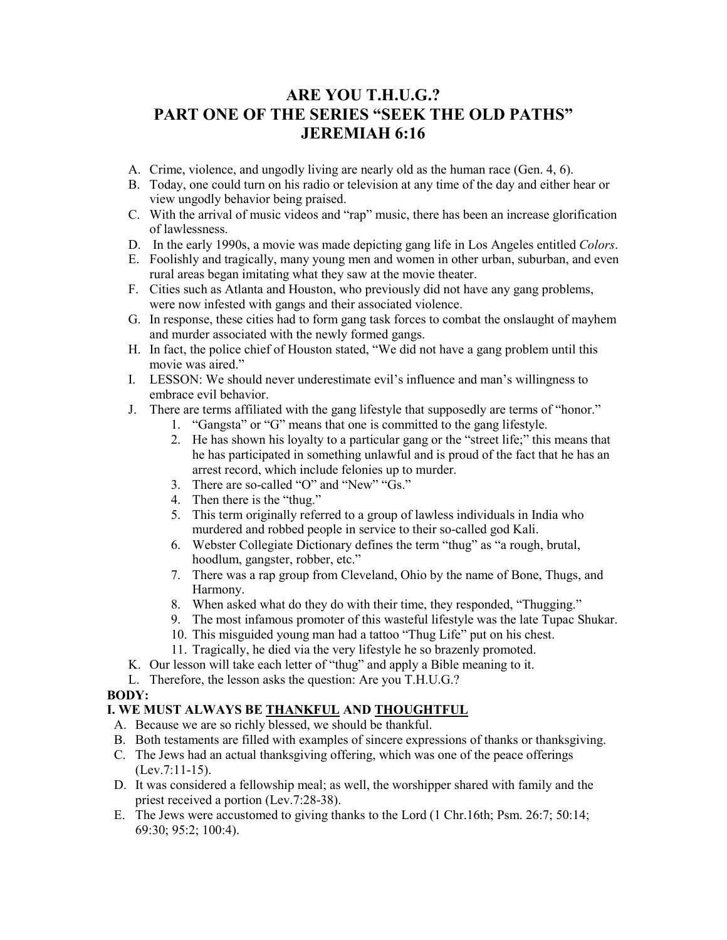# **ARE YOU T.H.U.G.? PART ONE OF THE SERIES "SEEK THE OLD PATHS" JEREMIAH 6:16**

- A. Crime, violence, and ungodly living are nearly old as the human race (Gen. 4, 6).
- B. Today, one could turn on his radio or television at any time of the day and either hear or view ungodly behavior being praised.
- C. With the arrival of music videos and "rap" music, there has been an increase glorification of lawlessness.
- D. In the early 1990s, a movie was made depicting gang life in Los Angeles entitled *Colors*.
- E. Foolishly and tragically, many young men and women in other urban, suburban, and even rural areas began imitating what they saw at the movie theater.
- F. Cities such as Atlanta and Houston, who previously did not have any gang problems, were now infested with gangs and their associated violence.
- G. In response, these cities had to form gang task forces to combat the onslaught of mayhem and murder associated with the newly formed gangs.
- H. In fact, the police chief of Houston stated, "We did not have a gang problem until this movie was aired."
- I. LESSON: We should never underestimate evil's influence and man's willingness to embrace evil behavior.
- J. There are terms affiliated with the gang lifestyle that supposedly are terms of "honor."
	- 1. "Gangsta" or "G" means that one is committed to the gang lifestyle.
	- 2. He has shown his loyalty to a particular gang or the "street life;" this means that he has participated in something unlawful and is proud of the fact that he has an arrest record, which include felonies up to murder.
	- 3. There are so-called "O" and "New" "Gs."
	- 4. Then there is the "thug."
	- 5. This term originally referred to a group of lawless individuals in India who murdered and robbed people in service to their so-called god Kali.
	- 6. Webster Collegiate Dictionary defines the term "thug" as "a rough, brutal, hoodlum, gangster, robber, etc."
	- 7. There was a rap group from Cleveland, Ohio by the name of Bone, Thugs, and Harmony.
	- 8. When asked what do they do with their time, they responded, "Thugging."
	- 9. The most infamous promoter of this wasteful lifestyle was the late Tupac Shukar.
	- 10. This misguided young man had a tattoo "Thug Life" put on his chest.
	- 11. Tragically, he died via the very lifestyle he so brazenly promoted.
- K. Our lesson will take each letter of "thug" and apply a Bible meaning to it.
- L. Therefore, the lesson asks the question: Are you T.H.U.G.?

#### **BODY:**

#### **I. WE MUST ALWAYS BE THANKFUL AND THOUGHTFUL**

- A. Because we are so richly blessed, we should be thankful.
- B. Both testaments are filled with examples of sincere expressions of thanks or thanksgiving.
- C. The Jews had an actual thanksgiving offering, which was one of the peace offerings (Lev.7:11-15).
- D. It was considered a fellowship meal; as well, the worshipper shared with family and the priest received a portion (Lev.7:28-38).
- E. The Jews were accustomed to giving thanks to the Lord (1 Chr.16th; Psm. 26:7; 50:14; 69:30; 95:2; 100:4).